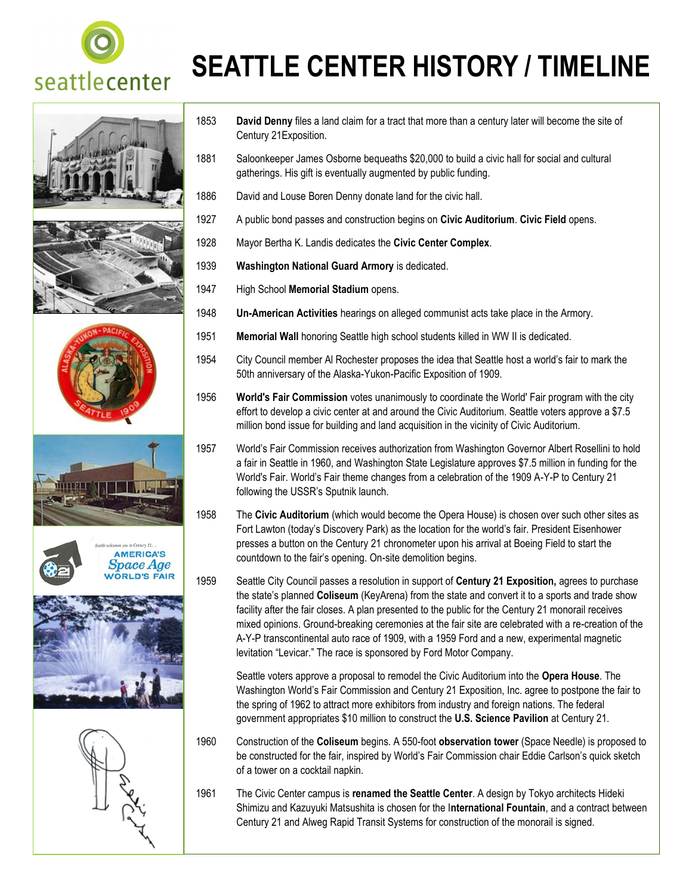

## **SEATTLE CENTER HISTORY / TIMELINE**



- 1853 **David Denny** files a land claim for a tract that more than a century later will become the site of Century 21Exposition.
- 1881 Saloonkeeper James Osborne bequeaths \$20,000 to build a civic hall for social and cultural gatherings. His gift is eventually augmented by public funding.
- 1886 David and Louse Boren Denny donate land for the civic hall.
- 1927 A public bond passes and construction begins on **Civic Auditorium**. **Civic Field** opens.
- 1928 Mayor Bertha K. Landis dedicates the **Civic Center Complex**.
- 1939 **Washington National Guard Armory** is dedicated.
- 1947 High School **Memorial Stadium** opens.
- 1948 **Un-American Activities** hearings on alleged communist acts take place in the Armory.
- 1951 **Memorial Wall** honoring Seattle high school students killed in WW II is dedicated.
- 1954 City Council member Al Rochester proposes the idea that Seattle host a world's fair to mark the 50th anniversary of the Alaska-Yukon-Pacific Exposition of 1909.
- 1956 **World's Fair Commission** votes unanimously to coordinate the World' Fair program with the city effort to develop a civic center at and around the Civic Auditorium. Seattle voters approve a \$7.5 million bond issue for building and land acquisition in the vicinity of Civic Auditorium.
- 1957 World's Fair Commission receives authorization from Washington Governor Albert Rosellini to hold a fair in Seattle in 1960, and Washington State Legislature approves \$7.5 million in funding for the World's Fair. World's Fair theme changes from a celebration of the 1909 A-Y-P to Century 21 following the USSR's Sputnik launch.
- 1958 The **Civic Auditorium** (which would become the Opera House) is chosen over such other sites as Fort Lawton (today's Discovery Park) as the location for the world's fair. President Eisenhower presses a button on the Century 21 chronometer upon his arrival at Boeing Field to start the countdown to the fair's opening. On-site demolition begins.
- 1959 Seattle City Council passes a resolution in support of **Century 21 Exposition,** agrees to purchase the state's planned **Coliseum** (KeyArena) from the state and convert it to a sports and trade show facility after the fair closes. A plan presented to the public for the Century 21 monorail receives mixed opinions. Ground-breaking ceremonies at the fair site are celebrated with a re-creation of the A-Y-P transcontinental auto race of 1909, with a 1959 Ford and a new, experimental magnetic levitation "Levicar." The race is sponsored by Ford Motor Company.

Seattle voters approve a proposal to remodel the Civic Auditorium into the **Opera House**. The Washington World's Fair Commission and Century 21 Exposition, Inc. agree to postpone the fair to the spring of 1962 to attract more exhibitors from industry and foreign nations. The federal government appropriates \$10 million to construct the **U.S. Science Pavilion** at Century 21.

- 1960 Construction of the **Coliseum** begins. A 550-foot **observation tower** (Space Needle) is proposed to be constructed for the fair, inspired by World's Fair Commission chair Eddie Carlson's quick sketch of a tower on a cocktail napkin.
- 1961 The Civic Center campus is **renamed the Seattle Center**. A design by Tokyo architects Hideki Shimizu and Kazuyuki Matsushita is chosen for the I**nternational Fountain**, and a contract between Century 21 and Alweg Rapid Transit Systems for construction of the monorail is signed.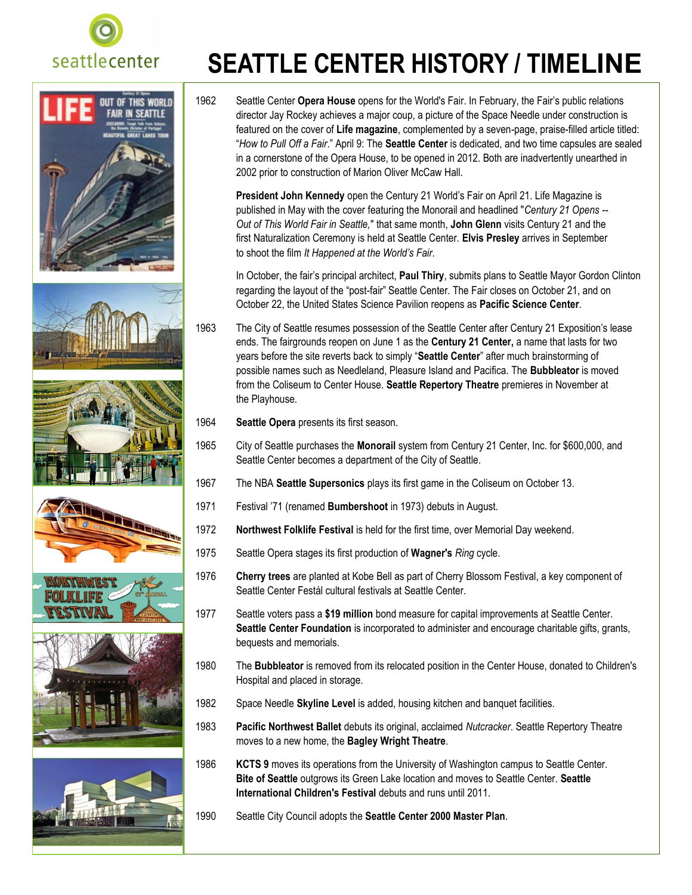

## **SEATTLE CENTER HISTORY / TIMELINE**



1962 Seattle Center **Opera House** opens for the World's Fair. In February, the Fair's public relations director Jay Rockey achieves a major coup, a picture of the Space Needle under construction is featured on the cover of **Life magazine**, complemented by a seven-page, praise-filled article titled: "*How to Pull Off a Fair*." April 9: The **Seattle Center** is dedicated, and two time capsules are sealed in a cornerstone of the Opera House, to be opened in 2012. Both are inadvertently unearthed in 2002 prior to construction of Marion Oliver McCaw Hall.

**President John Kennedy** open the Century 21 World's Fair on April 21. Life Magazine is published in May with the cover featuring the Monorail and headlined "*Century 21 Opens -- Out of This World Fair in Seattle,*" that same month, **John Glenn** visits Century 21 and the first Naturalization Ceremony is held at Seattle Center. **Elvis Presley** arrives in September to shoot the film *It Happened at the World's Fair*.

In October, the fair's principal architect, **Paul Thiry**, submits plans to Seattle Mayor Gordon Clinton regarding the layout of the "post-fair" Seattle Center. The Fair closes on October 21, and on October 22, the United States Science Pavilion reopens as **Pacific Science Center**.

- 1963 The City of Seattle resumes possession of the Seattle Center after Century 21 Exposition's lease ends. The fairgrounds reopen on June 1 as the **Century 21 Center,** a name that lasts for two years before the site reverts back to simply "**Seattle Center**" after much brainstorming of possible names such as Needleland, Pleasure Island and Pacifica. The **Bubbleator** is moved from the Coliseum to Center House. **Seattle Repertory Theatre** premieres in November at the Playhouse.
- 1964 **Seattle Opera** presents its first season.
- 1965 City of Seattle purchases the **Monorail** system from Century 21 Center, Inc. for \$600,000, and Seattle Center becomes a department of the City of Seattle.
- 1967 The NBA **Seattle Supersonics** plays its first game in the Coliseum on October 13.
- 1971 Festival '71 (renamed **Bumbershoot** in 1973) debuts in August.
- 1972 **Northwest Folklife Festival** is held for the first time, over Memorial Day weekend.
- 1975 Seattle Opera stages its first production of **Wagner's** *Ring* cycle.
- 1976 **Cherry trees** are planted at Kobe Bell as part of Cherry Blossom Festival, a key component of Seattle Center Festál cultural festivals at Seattle Center.
- 1977 Seattle voters pass a **\$19 million** bond measure for capital improvements at Seattle Center. **Seattle Center Foundation** is incorporated to administer and encourage charitable gifts, grants, bequests and memorials.
- 1980 The **Bubbleator** is removed from its relocated position in the Center House, donated to Children's Hospital and placed in storage.
- 1982 Space Needle **Skyline Level** is added, housing kitchen and banquet facilities.
- 1983 **Pacific Northwest Ballet** debuts its original, acclaimed *Nutcracker*. Seattle Repertory Theatre moves to a new home, the **Bagley Wright Theatre**.
- 1986 **KCTS 9** moves its operations from the University of Washington campus to Seattle Center. **Bite of Seattle** outgrows its Green Lake location and moves to Seattle Center. **Seattle International Children's Festival** debuts and runs until 2011.
- 1990 Seattle City Council adopts the **Seattle Center 2000 Master Plan**.